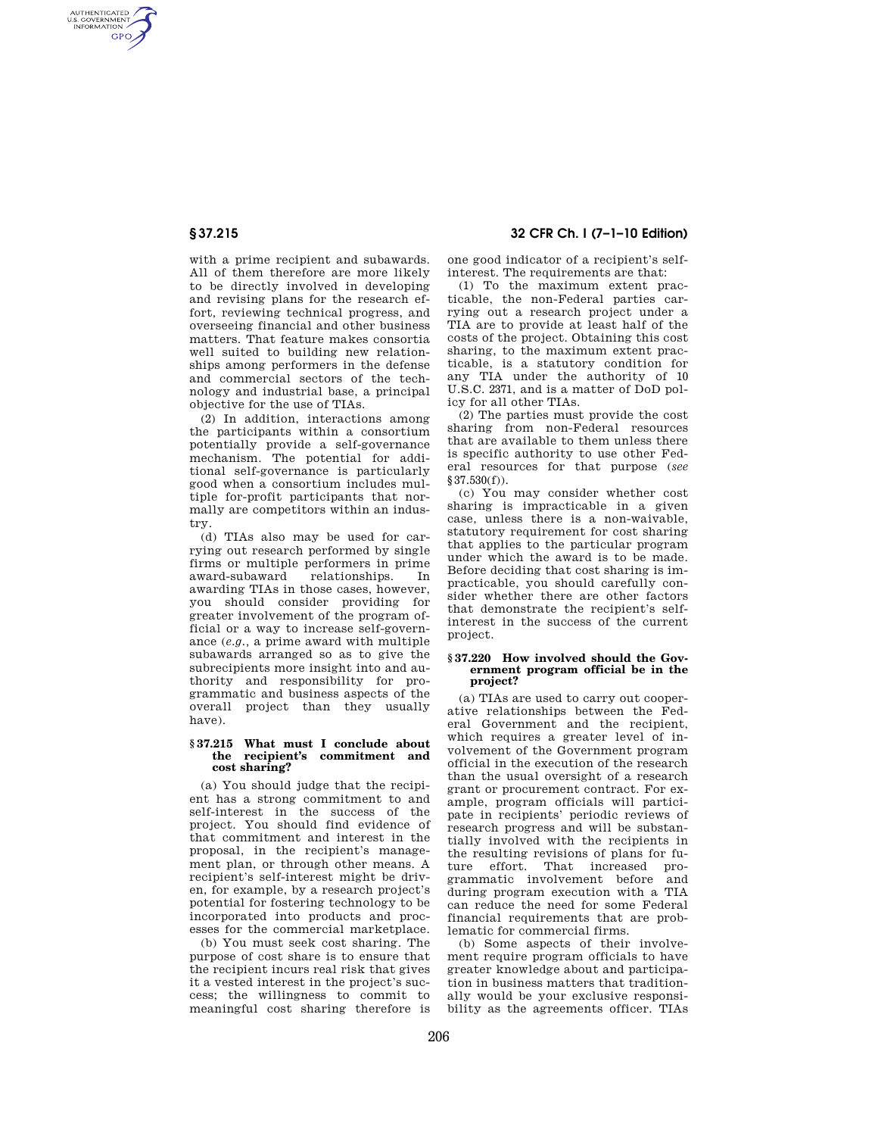AUTHENTICATED<br>U.S. GOVERNMENT<br>INFORMATION **GPO** 

> with a prime recipient and subawards. All of them therefore are more likely to be directly involved in developing and revising plans for the research effort, reviewing technical progress, and overseeing financial and other business matters. That feature makes consortia well suited to building new relationships among performers in the defense and commercial sectors of the technology and industrial base, a principal objective for the use of TIAs.

> (2) In addition, interactions among the participants within a consortium potentially provide a self-governance mechanism. The potential for additional self-governance is particularly good when a consortium includes multiple for-profit participants that normally are competitors within an industry.

> (d) TIAs also may be used for carrying out research performed by single firms or multiple performers in prime award-subaward relationships. In awarding TIAs in those cases, however, you should consider providing for greater involvement of the program official or a way to increase self-governance (*e.g.,* a prime award with multiple subawards arranged so as to give the subrecipients more insight into and authority and responsibility for programmatic and business aspects of the overall project than they usually have).

### **§ 37.215 What must I conclude about the recipient's commitment and cost sharing?**

(a) You should judge that the recipient has a strong commitment to and self-interest in the success of the project. You should find evidence of that commitment and interest in the proposal, in the recipient's management plan, or through other means. A recipient's self-interest might be driven, for example, by a research project's potential for fostering technology to be incorporated into products and processes for the commercial marketplace.

(b) You must seek cost sharing. The purpose of cost share is to ensure that the recipient incurs real risk that gives it a vested interest in the project's success; the willingness to commit to meaningful cost sharing therefore is

# **§ 37.215 32 CFR Ch. I (7–1–10 Edition)**

one good indicator of a recipient's selfinterest. The requirements are that:

(1) To the maximum extent practicable, the non-Federal parties carrying out a research project under a TIA are to provide at least half of the costs of the project. Obtaining this cost sharing, to the maximum extent practicable, is a statutory condition for any TIA under the authority of 10 U.S.C. 2371, and is a matter of DoD policy for all other TIAs.

(2) The parties must provide the cost sharing from non-Federal resources that are available to them unless there is specific authority to use other Federal resources for that purpose (*see*  § 37.530(f)).

(c) You may consider whether cost sharing is impracticable in a given case, unless there is a non-waivable, statutory requirement for cost sharing that applies to the particular program under which the award is to be made. Before deciding that cost sharing is impracticable, you should carefully consider whether there are other factors that demonstrate the recipient's selfinterest in the success of the current project.

### **§ 37.220 How involved should the Government program official be in the project?**

(a) TIAs are used to carry out cooperative relationships between the Federal Government and the recipient, which requires a greater level of involvement of the Government program official in the execution of the research than the usual oversight of a research grant or procurement contract. For example, program officials will participate in recipients' periodic reviews of research progress and will be substantially involved with the recipients in the resulting revisions of plans for future effort. That increased programmatic involvement before and during program execution with a TIA can reduce the need for some Federal financial requirements that are problematic for commercial firms.

(b) Some aspects of their involvement require program officials to have greater knowledge about and participation in business matters that traditionally would be your exclusive responsibility as the agreements officer. TIAs